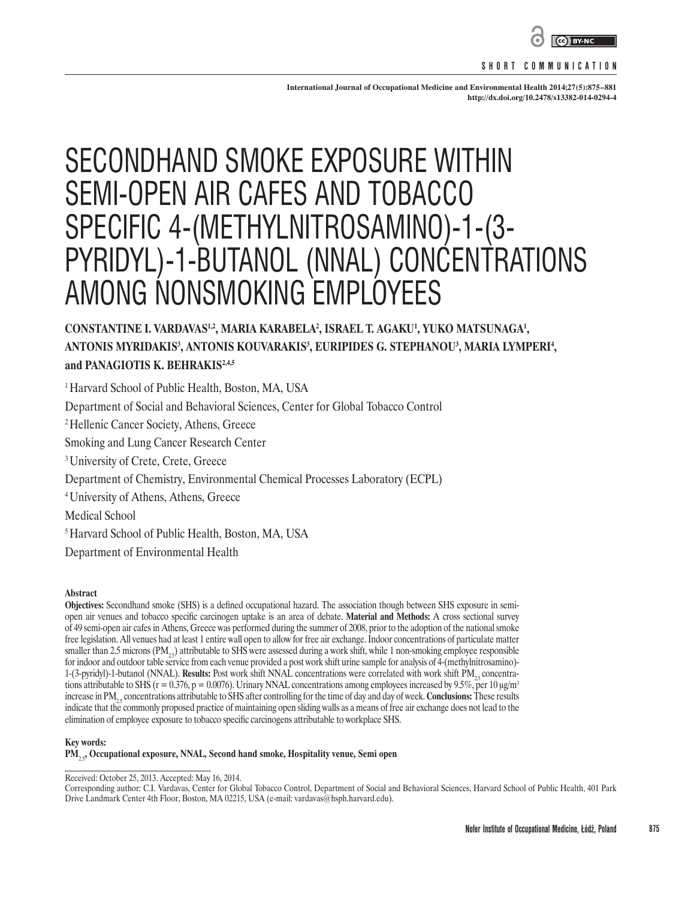

#### **SHORT COMMUNICATION**

**International Journal of Occupational Medicine and Environmental Health 2014;27(5):875–881 <http://dx.doi.org/10.2478/s13382-014-0294-4>**

# SECONDHAND SMOKE EXPOSURE WITHIN SEMI-OPEN AIR CAFES AND TOBACCO SPECIFIC 4-(METHYLNITROSAMINO)-1-(3- PYRIDYL)-1-BUTANOL (NNAL) CONCENTRATIONS AMONG NONSMOKING EMPLOYEES

# $\bf{CONSTANTINE\ I.}$  VARDAVAS<sup>1,2</sup>, MARIA KARABELA<sup>2</sup>, ISRAEL T. AGAKU<sup>1</sup>, YUKO MATSUNAGA<sup>1</sup>, **ANTONIS MYRIDAKIS3 , ANTONIS KOUVARAKIS3 , EURIPIDES G. STEPHANOU3 , MARIA LYMPERI4 , and PANAGIOTIS K. BEHRAKIS2,4,5**

<sup>1</sup> Harvard School of Public Health, Boston, MA, USA Department of Social and Behavioral Sciences, Center for Global Tobacco Control 2 Hellenic Cancer Society, Athens, Greece Smoking and Lung Cancer Research Center <sup>3</sup> University of Crete, Crete, Greece Department of Chemistry, Environmental Chemical Processes Laboratory (ECPL) 4 University of Athens, Athens, Greece Medical School 5 Harvard School of Public Health, Boston, MA, USA Department of Environmental Health

#### **Abstract**

**Objectives:** Secondhand smoke (SHS) is a defined occupational hazard. The association though between SHS exposure in semiopen air venues and tobacco specific carcinogen uptake is an area of debate. **Material and Methods:** A cross sectional survey of 49 semi-open air cafes in Athens, Greece was performed during the summer of 2008, prior to the adoption of the national smoke free legislation. All venues had at least 1 entire wall open to allow for free air exchange. Indoor concentrations of particulate matter smaller than 2.5 microns (PM<sub>25</sub>) attributable to SHS were assessed during a work shift, while 1 non-smoking employee responsible for indoor and outdoor table service from each venue provided a post work shift urine sample for analysis of 4-(methylnitrosamino)- 1-(3-pyridyl)-1-butanol (NNAL). **Results:** Post work shift NNAL concentrations were correlated with work shift PM<sub>1</sub>, concentrations attributable to SHS ( $r = 0.376$ ,  $p = 0.0076$ ). Urinary NNAL concentrations among employees increased by 9.5%, per 10  $\mu$ g/m<sup>3</sup> increase in PM<sub>2</sub>, concentrations attributable to SHS after controlling for the time of day and day of week. **Conclusions:** These results indicate that the commonly proposed practice of maintaining open sliding walls as a means of free air exchange does not lead to the elimination of employee exposure to tobacco specific carcinogens attributable to workplace SHS.

#### **Key words:**

**PM**2.5**, Occupational exposure, NNAL, Second hand smoke, Hospitality venue, Semi open**

Received: October 25, 2013. Accepted: May 16, 2014.

Corresponding author: C.I. Vardavas, Center for Global Tobacco Control, Department of Social and Behavioral Sciences, Harvard School of Public Health, 401 Park Drive Landmark Center 4th Floor, Boston, MA 02215, USA (e-mail: vardavas@hsph.harvard.edu).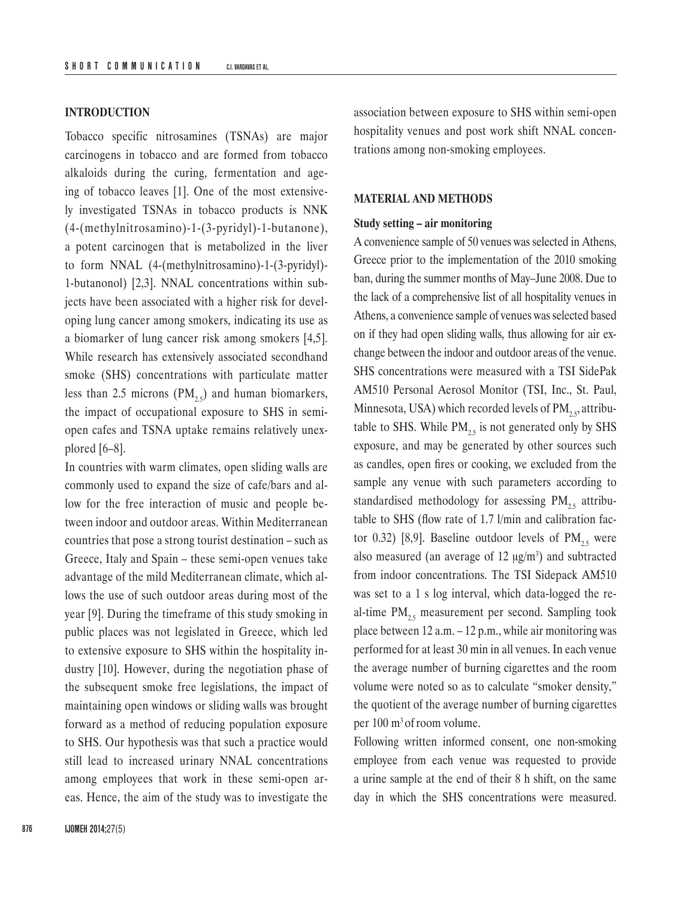# **INTRODUCTION**

Tobacco specific nitrosamines (TSNAs) are major carcinogens in tobacco and are formed from tobacco alkaloids during the curing, fermentation and ageing of tobacco leaves [1]. One of the most extensively investigated TSNAs in tobacco products is NNK (4-(methylnitrosamino)-1-(3-pyridyl)-1-butanone), a potent carcinogen that is metabolized in the liver to form NNAL (4-(methylnitrosamino)-1-(3-pyridyl)- 1-butanonol) [2,3]. NNAL concentrations within subjects have been associated with a higher risk for developing lung cancer among smokers, indicating its use as a biomarker of lung cancer risk among smokers [4,5]. While research has extensively associated secondhand smoke (SHS) concentrations with particulate matter less than 2.5 microns  $(PM_{2.5})$  and human biomarkers, the impact of occupational exposure to SHS in semiopen cafes and TSNA uptake remains relatively unexplored [6–8].

In countries with warm climates, open sliding walls are commonly used to expand the size of cafe/bars and allow for the free interaction of music and people between indoor and outdoor areas. Within Mediterranean countries that pose a strong tourist destination – such as Greece, Italy and Spain – these semi-open venues take advantage of the mild Mediterranean climate, which allows the use of such outdoor areas during most of the year [9]. During the timeframe of this study smoking in public places was not legislated in Greece, which led to extensive exposure to SHS within the hospitality industry [10]. However, during the negotiation phase of the subsequent smoke free legislations, the impact of maintaining open windows or sliding walls was brought forward as a method of reducing population exposure to SHS. Our hypothesis was that such a practice would still lead to increased urinary NNAL concentrations among employees that work in these semi-open areas. Hence, the aim of the study was to investigate the

association between exposure to SHS within semi-open hospitality venues and post work shift NNAL concentrations among non-smoking employees.

#### **MATERIAL AND METHODS**

# **Study setting – air monitoring**

A convenience sample of 50 venues was selected in Athens, Greece prior to the implementation of the 2010 smoking ban, during the summer months of May–June 2008. Due to the lack of a comprehensive list of all hospitality venues in Athens, a convenience sample of venues was selected based on if they had open sliding walls, thus allowing for air exchange between the indoor and outdoor areas of the venue. SHS concentrations were measured with a TSI SidePak AM510 Personal Aerosol Monitor (TSI, Inc., St. Paul, Minnesota, USA) which recorded levels of  $PM_{2,5}$  attributable to SHS. While  $PM_{2,5}$  is not generated only by SHS exposure, and may be generated by other sources such as candles, open fires or cooking, we excluded from the sample any venue with such parameters according to standardised methodology for assessing  $PM_{2.5}$  attributable to SHS (flow rate of 1.7 l/min and calibration factor 0.32) [8,9]. Baseline outdoor levels of  $PM_{2.5}$  were also measured (an average of 12  $\mu$ g/m<sup>3</sup>) and subtracted from indoor concentrations. The TSI Sidepack AM510 was set to a 1 s log interval, which data-logged the real-time  $PM_{2,5}$  measurement per second. Sampling took place between 12 a.m. – 12 p.m., while air monitoring was performed for at least 30 min in all venues. In each venue the average number of burning cigarettes and the room volume were noted so as to calculate "smoker density," the quotient of the average number of burning cigarettes per 100 m<sup>3</sup> of room volume.

Following written informed consent, one non-smoking employee from each venue was requested to provide a urine sample at the end of their 8 h shift, on the same day in which the SHS concentrations were measured.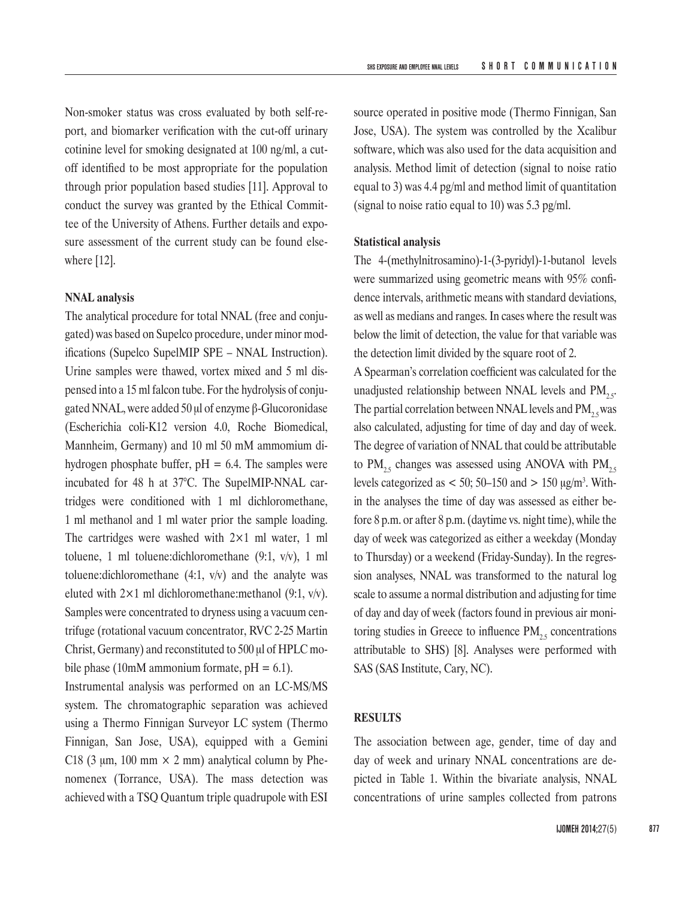Non-smoker status was cross evaluated by both self-report, and biomarker verification with the cut-off urinary cotinine level for smoking designated at 100 ng/ml, a cutoff identified to be most appropriate for the population through prior population based studies [11]. Approval to conduct the survey was granted by the Ethical Committee of the University of Athens. Further details and exposure assessment of the current study can be found elsewhere [12].

#### **NNAL analysis**

The analytical procedure for total NNAL (free and conjugated) was based on Supelco procedure, under minor modifications (Supelco SupelMIP SPE – NNAL Instruction). Urine samples were thawed, vortex mixed and 5 ml dispensed into a 15 ml falcon tube. For the hydrolysis of conjugated NNAL, were added 50 μl of enzyme β-Glucoronidase (Escherichia coli-K12 version 4.0, Roche Biomedical, Mannheim, Germany) and 10 ml 50 mM ammomium dihydrogen phosphate buffer,  $pH = 6.4$ . The samples were incubated for 48 h at 37°C. The SupelMIP-NNAL cartridges were conditioned with 1 ml dichloromethane, 1 ml methanol and 1 ml water prior the sample loading. The cartridges were washed with  $2\times1$  ml water, 1 ml toluene, 1 ml toluene:dichloromethane (9:1, v/v), 1 ml toluene: dichloromethane  $(4:1, v/v)$  and the analyte was eluted with  $2 \times 1$  ml dichloromethane: methanol (9:1, v/v). Samples were concentrated to dryness using a vacuum centrifuge (rotational vacuum concentrator, RVC 2-25 Martin Christ, Germany) and reconstituted to 500 μl of HPLC mobile phase (10mM ammonium formate,  $pH = 6.1$ ).

Instrumental analysis was performed on an LC-MS/MS system. The chromatographic separation was achieved using a Thermo Finnigan Surveyor LC system (Thermo Finnigan, San Jose, USA), equipped with a Gemini C18 (3  $\mu$ m, 100 mm  $\times$  2 mm) analytical column by Phenomenex (Torrance, USA). The mass detection was achieved with a TSQ Quantum triple quadrupole with ESI source operated in positive mode (Thermo Finnigan, San Jose, USA). The system was controlled by the Xcalibur software, which was also used for the data acquisition and analysis. Method limit of detection (signal to noise ratio equal to 3) was 4.4 pg/ml and method limit of quantitation (signal to noise ratio equal to 10) was 5.3 pg/ml.

#### **Statistical analysis**

The 4-(methylnitrosamino)-1-(3-pyridyl)-1-butanol levels were summarized using geometric means with 95% confidence intervals, arithmetic means with standard deviations, as well as medians and ranges. In cases where the result was below the limit of detection, the value for that variable was the detection limit divided by the square root of 2.

A Spearman's correlation coefficient was calculated for the unadjusted relationship between NNAL levels and  $PM_{2.5}$ . The partial correlation between NNAL levels and  $PM_{2.5}$  was also calculated, adjusting for time of day and day of week. The degree of variation of NNAL that could be attributable to PM<sub>25</sub> changes was assessed using ANOVA with PM<sub>25</sub> levels categorized as  $< 50$ ; 50–150 and  $> 150 \mu g/m<sup>3</sup>$ . Within the analyses the time of day was assessed as either before 8 p.m. or after 8 p.m. (daytime vs. night time), while the day of week was categorized as either a weekday (Monday to Thursday) or a weekend (Friday-Sunday). In the regression analyses, NNAL was transformed to the natural log scale to assume a normal distribution and adjusting for time of day and day of week (factors found in previous air monitoring studies in Greece to influence  $PM_{25}$  concentrations attributable to SHS) [8]. Analyses were performed with SAS (SAS Institute, Cary, NC).

# **RESULTS**

The association between age, gender, time of day and day of week and urinary NNAL concentrations are depicted in Table 1. Within the bivariate analysis, NNAL concentrations of urine samples collected from patrons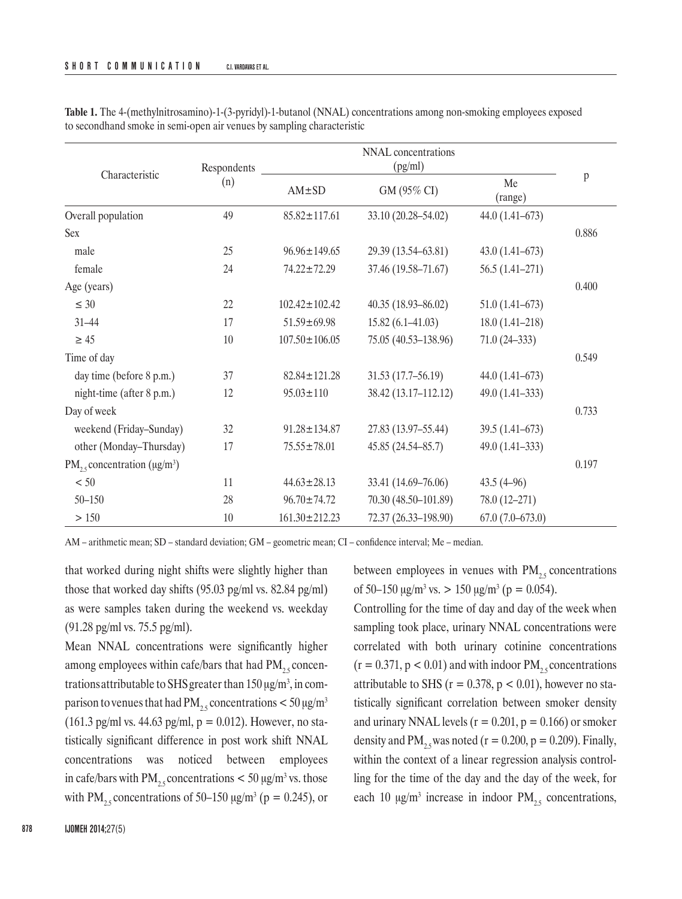| Characteristic                          | Respondents<br>(n) | NNAL concentrations<br>(pg/ml) |                      |                    |       |
|-----------------------------------------|--------------------|--------------------------------|----------------------|--------------------|-------|
|                                         |                    | AM±SD                          | GM (95% CI)          | Me<br>(range)      | p     |
| Overall population                      | 49                 | $85.82 \pm 117.61$             | 33.10 (20.28-54.02)  | $44.0(1.41-673)$   |       |
| <b>Sex</b>                              |                    |                                |                      |                    | 0.886 |
| male                                    | 25                 | $96.96 \pm 149.65$             | 29.39 (13.54–63.81)  | $43.0(1.41-673)$   |       |
| female                                  | 24                 | 74.22±72.29                    | 37.46 (19.58-71.67)  | $56.5(1.41-271)$   |       |
| Age (years)                             |                    |                                |                      |                    | 0.400 |
| $\leq 30$                               | 22                 | $102.42 \pm 102.42$            | 40.35 (18.93-86.02)  | $51.0(1.41-673)$   |       |
| $31 - 44$                               | 17                 | $51.59 \pm 69.98$              | $15.82(6.1 - 41.03)$ | $18.0(1.41 - 218)$ |       |
| $\geq 45$                               | 10                 | $107.50 \pm 106.05$            | 75.05 (40.53-138.96) | $71.0(24-333)$     |       |
| Time of day                             |                    |                                |                      |                    | 0.549 |
| day time (before 8 p.m.)                | 37                 | $82.84 \pm 121.28$             | $31.53(17.7-56.19)$  | $44.0(1.41-673)$   |       |
| night-time (after 8 p.m.)               | 12                 | $95.03 \pm 110$                | 38.42 (13.17-112.12) | $49.0(1.41-333)$   |       |
| Day of week                             |                    |                                |                      |                    | 0.733 |
| weekend (Friday-Sunday)                 | 32                 | $91.28 \pm 134.87$             | 27.83 (13.97-55.44)  | $39.5(1.41-673)$   |       |
| other (Monday-Thursday)                 | 17                 | $75.55 \pm 78.01$              | 45.85 (24.54-85.7)   | $49.0(1.41-333)$   |       |
| $PM_{25}$ concentration ( $\mu g/m^3$ ) |                    |                                |                      |                    | 0.197 |
| $< 50$                                  | 11                 | $44.63 \pm 28.13$              | 33.41 (14.69–76.06)  | $43.5(4-96)$       |       |
| $50 - 150$                              | 28                 | $96.70 \pm 74.72$              | 70.30 (48.50-101.89) | $78.0(12-271)$     |       |
| > 150                                   | 10                 | $161.30 \pm 212.23$            | 72.37 (26.33-198.90) | $67.0(7.0-673.0)$  |       |

**Table 1.** The 4-(methylnitrosamino)-1-(3-pyridyl)-1-butanol (NNAL) concentrations among non-smoking employees exposed to secondhand smoke in semi-open air venues by sampling characteristic

AM – arithmetic mean; SD – standard deviation; GM – geometric mean; CI – confidence interval; Me – median.

that worked during night shifts were slightly higher than those that worked day shifts (95.03 pg/ml vs. 82.84 pg/ml) as were samples taken during the weekend vs. weekday (91.28 pg/ml vs. 75.5 pg/ml).

Mean NNAL concentrations were significantly higher among employees within cafe/bars that had  $PM_{25}$  concentrations attributable to SHS greater than  $150 \,\mathrm{\upmu g/m^3}$ , in comparison to venues that had PM<sub>25</sub> concentrations  $<$  50  $\mu$ g/m<sup>3</sup> (161.3 pg/ml vs. 44.63 pg/ml,  $p = 0.012$ ). However, no statistically significant difference in post work shift NNAL concentrations was noticed between employees in cafe/bars with  $PM_{2.5}$  concentrations  $<$  50  $\mu$ g/m<sup>3</sup> vs. those with PM<sub>2.5</sub> concentrations of 50–150  $\mu$ g/m<sup>3</sup> (p = 0.245), or between employees in venues with  $PM_{25}$  concentrations of 50–150  $\mu$ g/m<sup>3</sup> vs. > 150  $\mu$ g/m<sup>3</sup> (p = 0.054).

Controlling for the time of day and day of the week when sampling took place, urinary NNAL concentrations were correlated with both urinary cotinine concentrations  $(r = 0.371, p < 0.01)$  and with indoor PM<sub>25</sub> concentrations attributable to SHS ( $r = 0.378$ ,  $p < 0.01$ ), however no statistically significant correlation between smoker density and urinary NNAL levels ( $r = 0.201$ ,  $p = 0.166$ ) or smoker density and PM<sub>25</sub> was noted ( $r = 0.200$ ,  $p = 0.209$ ). Finally, within the context of a linear regression analysis controlling for the time of the day and the day of the week, for each 10  $\mu$ g/m<sup>3</sup> increase in indoor PM<sub>2.5</sub> concentrations,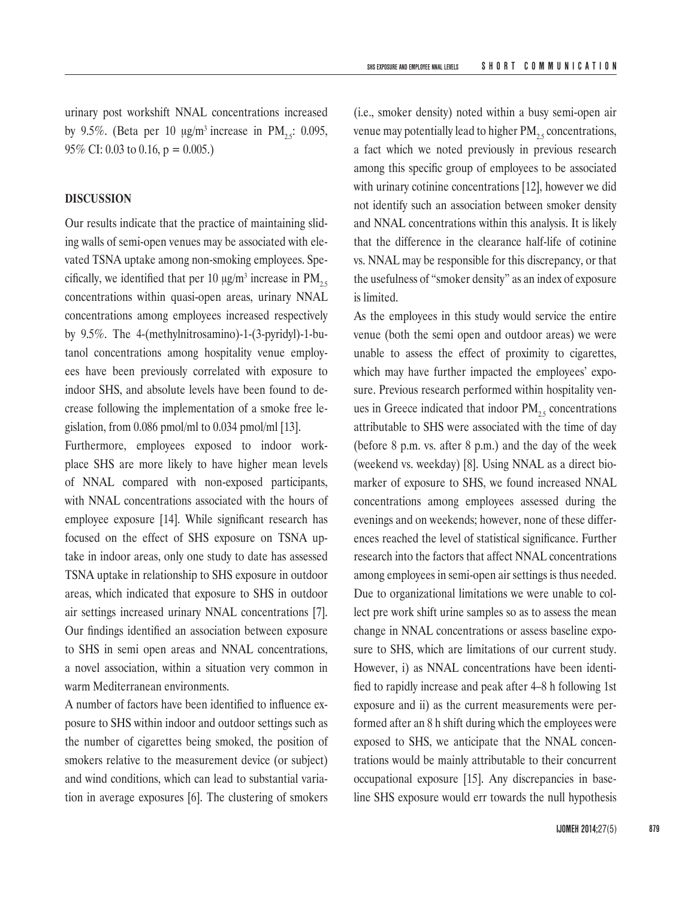urinary post workshift NNAL concentrations increased by 9.5%. (Beta per 10  $\mu$ g/m<sup>3</sup> increase in PM<sub>2</sub>: 0.095, 95% CI: 0.03 to 0.16,  $p = 0.005$ .)

# **DISCUSSION**

Our results indicate that the practice of maintaining sliding walls of semi-open venues may be associated with elevated TSNA uptake among non-smoking employees. Specifically, we identified that per 10  $\mu$ g/m<sup>3</sup> increase in PM<sub>2.5</sub> concentrations within quasi-open areas, urinary NNAL concentrations among employees increased respectively by 9.5%. The 4-(methylnitrosamino)-1-(3-pyridyl)-1-butanol concentrations among hospitality venue employees have been previously correlated with exposure to indoor SHS, and absolute levels have been found to decrease following the implementation of a smoke free legislation, from 0.086 pmol/ml to 0.034 pmol/ml [13].

Furthermore, employees exposed to indoor workplace SHS are more likely to have higher mean levels of NNAL compared with non-exposed participants, with NNAL concentrations associated with the hours of employee exposure [14]. While significant research has focused on the effect of SHS exposure on TSNA uptake in indoor areas, only one study to date has assessed TSNA uptake in relationship to SHS exposure in outdoor areas, which indicated that exposure to SHS in outdoor air settings increased urinary NNAL concentrations [7]. Our findings identified an association between exposure to SHS in semi open areas and NNAL concentrations, a novel association, within a situation very common in warm Mediterranean environments.

A number of factors have been identified to influence exposure to SHS within indoor and outdoor settings such as the number of cigarettes being smoked, the position of smokers relative to the measurement device (or subject) and wind conditions, which can lead to substantial variation in average exposures [6]. The clustering of smokers

(i.e., smoker density) noted within a busy semi-open air venue may potentially lead to higher  $PM_{25}$  concentrations, a fact which we noted previously in previous research among this specific group of employees to be associated with urinary cotinine concentrations [12], however we did not identify such an association between smoker density and NNAL concentrations within this analysis. It is likely that the difference in the clearance half-life of cotinine vs. NNAL may be responsible for this discrepancy, or that the usefulness of "smoker density" as an index of exposure is limited.

As the employees in this study would service the entire venue (both the semi open and outdoor areas) we were unable to assess the effect of proximity to cigarettes, which may have further impacted the employees' exposure. Previous research performed within hospitality venues in Greece indicated that indoor  $PM_{25}$  concentrations attributable to SHS were associated with the time of day (before 8 p.m. vs. after 8 p.m.) and the day of the week (weekend vs. weekday) [8]. Using NNAL as a direct biomarker of exposure to SHS, we found increased NNAL concentrations among employees assessed during the evenings and on weekends; however, none of these differences reached the level of statistical significance. Further research into the factors that affect NNAL concentrations among employees in semi-open air settings is thus needed. Due to organizational limitations we were unable to collect pre work shift urine samples so as to assess the mean change in NNAL concentrations or assess baseline exposure to SHS, which are limitations of our current study. However, i) as NNAL concentrations have been identified to rapidly increase and peak after 4–8 h following 1st exposure and ii) as the current measurements were performed after an 8 h shift during which the employees were exposed to SHS, we anticipate that the NNAL concentrations would be mainly attributable to their concurrent occupational exposure [15]. Any discrepancies in baseline SHS exposure would err towards the null hypothesis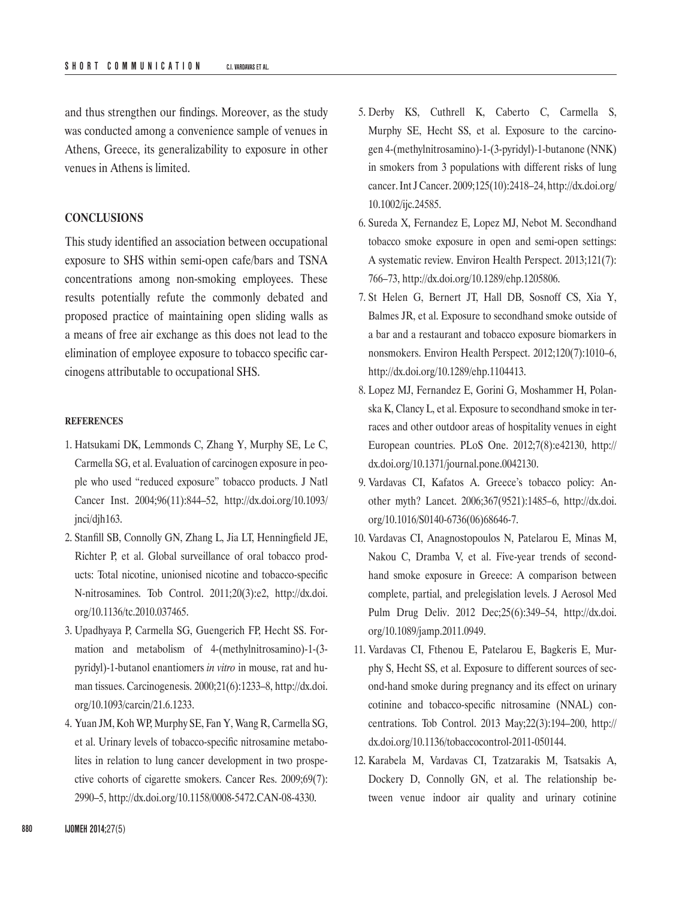and thus strengthen our findings. Moreover, as the study was conducted among a convenience sample of venues in Athens, Greece, its generalizability to exposure in other venues in Athens is limited.

# **CONCLUSIONS**

This study identified an association between occupational exposure to SHS within semi-open cafe/bars and TSNA concentrations among non-smoking employees. These results potentially refute the commonly debated and proposed practice of maintaining open sliding walls as a means of free air exchange as this does not lead to the elimination of employee exposure to tobacco specific carcinogens attributable to occupational SHS.

#### **REFERENCES**

- 1. Hatsukami DK, Lemmonds C, Zhang Y, Murphy SE, Le C, Carmella SG, et al. Evaluation of carcinogen exposure in people who used "reduced exposure" tobacco products. J Natl Cancer Inst. 2004;96(11):844–52, [http://dx.doi.org/10.1093/](http://dx.doi.org/10.1093/jnci/djh163) [jnci/djh163.](http://dx.doi.org/10.1093/jnci/djh163)
- 2. Stanfill SB, Connolly GN, Zhang L, Jia LT, Henningfield JE, Richter P, et al. Global surveillance of oral tobacco products: Total nicotine, unionised nicotine and tobacco-specific N-nitrosamines. Tob Control. 2011;20(3):e2, [http://dx.doi.](http://dx.doi.org/10.1136/tc.2010.037465) [org/10.1136/tc.2010.037465.](http://dx.doi.org/10.1136/tc.2010.037465)
- 3. Upadhyaya P, Carmella SG, Guengerich FP, Hecht SS. Formation and metabolism of 4-(methylnitrosamino)-1-(3 pyridyl)-1-butanol enantiomers *in vitro* in mouse, rat and human tissues. Carcinogenesis. 2000;21(6):1233–8, [http://dx.doi.](http://dx.doi.org/10.1093/carcin/21.6.1233) [org/10.1093/carcin/21.6.1233.](http://dx.doi.org/10.1093/carcin/21.6.1233)
- 4. Yuan JM, Koh WP, Murphy SE, Fan Y, Wang R, Carmella SG, et al. Urinary levels of tobacco-specific nitrosamine metabolites in relation to lung cancer development in two prospective cohorts of cigarette smokers. Cancer Res. 2009;69(7): 2990–5, <http://dx.doi.org/10.1158/0008-5472.CAN-08-4330>.
- 5. Derby KS, Cuthrell K, Caberto C, Carmella S, Murphy SE, Hecht SS, et al. Exposure to the carcinogen 4-(methylnitrosamino)-1-(3-pyridyl)-1-butanone (NNK) in smokers from 3 populations with different risks of lung cancer. Int J Cancer. 2009;125(10):2418–24, [http://dx.doi.org/](http://dx.doi.org/10.1002/ijc.24585) [10.1002/ijc.24585](http://dx.doi.org/10.1002/ijc.24585).
- 6. Sureda X, Fernandez E, Lopez MJ, Nebot M. Secondhand tobacco smoke exposure in open and semi-open settings: A systematic review. Environ Health Perspect. 2013;121(7): 766–73,<http://dx.doi.org/10.1289/ehp.1205806>.
- 7. St Helen G, Bernert JT, Hall DB, Sosnoff CS, Xia Y, Balmes JR, et al. Exposure to secondhand smoke outside of a bar and a restaurant and tobacco exposure biomarkers in nonsmokers. Environ Health Perspect. 2012;120(7):1010–6, <http://dx.doi.org/10.1289/ehp.1104413>.
- 8. Lopez MJ, Fernandez E, Gorini G, Moshammer H, Polanska K, Clancy L, et al. Exposure to secondhand smoke in terraces and other outdoor areas of hospitality venues in eight European countries. PLoS One. 2012;7(8):e42130, [http://](http://dx.doi.org/10.1371/journal.pone.0042130) [dx.doi.org/10.1371/journal.pone.0042130](http://dx.doi.org/10.1371/journal.pone.0042130).
- 9. Vardavas CI, Kafatos A. Greece's tobacco policy: Another myth? Lancet. 2006;367(9521):1485–6, [http://dx.doi.](http://dx.doi.org/10.1016/S0140-6736(06)68646-7) [org/10.1016/S0140-6736\(06\)68646-7.](http://dx.doi.org/10.1016/S0140-6736(06)68646-7)
- 10. Vardavas CI, Anagnostopoulos N, Patelarou E, Minas M, Nakou C, Dramba V, et al. Five-year trends of secondhand smoke exposure in Greece: A comparison between complete, partial, and prelegislation levels. J Aerosol Med Pulm Drug Deliv. 2012 Dec;25(6):349–54, [http://dx.doi.](http://dx.doi.org/10.1089/jamp.2011.0949) [org/10.1089/jamp.2011.0949](http://dx.doi.org/10.1089/jamp.2011.0949).
- 11. Vardavas CI, Fthenou E, Patelarou E, Bagkeris E, Murphy S, Hecht SS, et al. Exposure to different sources of second-hand smoke during pregnancy and its effect on urinary cotinine and tobacco-specific nitrosamine (NNAL) concentrations. Tob Control. 2013 May;22(3):194–200, [http://](http://dx.doi.org/10.1136/tobaccocontrol-2011-050144) [dx.doi.org/10.1136/tobaccocontrol-2011-050144.](http://dx.doi.org/10.1136/tobaccocontrol-2011-050144)
- 12. Karabela M, Vardavas CI, Tzatzarakis M, Tsatsakis A, Dockery D, Connolly GN, et al. The relationship between venue indoor air quality and urinary cotinine